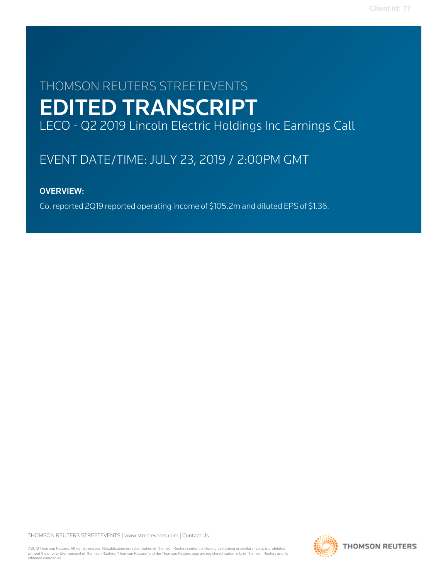# THOMSON REUTERS STREETEVENTS EDITED TRANSCRIPT LECO - Q2 2019 Lincoln Electric Holdings Inc Earnings Call

# EVENT DATE/TIME: JULY 23, 2019 / 2:00PM GMT

# OVERVIEW:

Co. reported 2Q19 reported operating income of \$105.2m and diluted EPS of \$1.36.

THOMSON REUTERS STREETEVENTS | [www.streetevents.com](http://www.streetevents.com) | [Contact Us](http://www010.streetevents.com/contact.asp)

©2019 Thomson Reuters. All rights reserved. Republication or redistribution of Thomson Reuters content, including by framing or similar means, is prohibited without the prior written consent of Thomson Reuters. 'Thomson Reuters' and the Thomson Reuters logo are registered trademarks of Thomson Reuters and its affiliated companies.

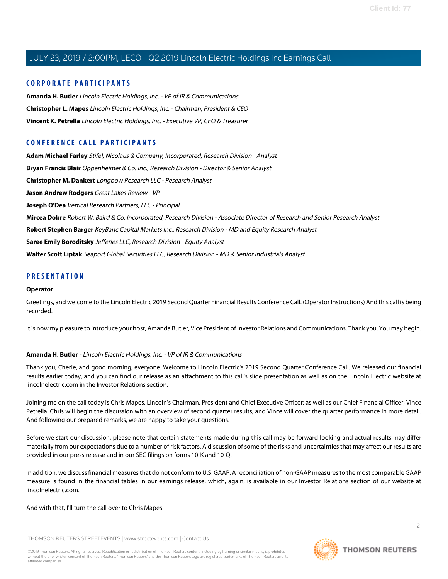#### **CORPORATE PARTICIPANTS**

**[Amanda H. Butler](#page-1-0)** Lincoln Electric Holdings, Inc. - VP of IR & Communications **[Christopher L. Mapes](#page-2-0)** Lincoln Electric Holdings, Inc. - Chairman, President & CEO **[Vincent K. Petrella](#page-2-1)** Lincoln Electric Holdings, Inc. - Executive VP, CFO & Treasurer

### **CONFERENCE CALL PARTICIPANTS**

**[Adam Michael Farley](#page-9-0)** Stifel, Nicolaus & Company, Incorporated, Research Division - Analyst **[Bryan Francis Blair](#page-12-0)** Oppenheimer & Co. Inc., Research Division - Director & Senior Analyst **[Christopher M. Dankert](#page-8-0)** Longbow Research LLC - Research Analyst **[Jason Andrew Rodgers](#page-11-0)** Great Lakes Review - VP **[Joseph O'Dea](#page-6-0)** Vertical Research Partners, LLC - Principal **[Mircea Dobre](#page-5-0)** Robert W. Baird & Co. Incorporated, Research Division - Associate Director of Research and Senior Research Analyst **[Robert Stephen Barger](#page-13-0)** KeyBanc Capital Markets Inc., Research Division - MD and Equity Research Analyst **[Saree Emily Boroditsky](#page-4-0)** Jefferies LLC, Research Division - Equity Analyst **[Walter Scott Liptak](#page-9-1)** Seaport Global Securities LLC, Research Division - MD & Senior Industrials Analyst

#### **PRESENTATION**

#### **Operator**

Greetings, and welcome to the Lincoln Electric 2019 Second Quarter Financial Results Conference Call. (Operator Instructions) And this call is being recorded.

<span id="page-1-0"></span>It is now my pleasure to introduce your host, Amanda Butler, Vice President of Investor Relations and Communications. Thank you. You may begin.

#### **Amanda H. Butler** - Lincoln Electric Holdings, Inc. - VP of IR & Communications

Thank you, Cherie, and good morning, everyone. Welcome to Lincoln Electric's 2019 Second Quarter Conference Call. We released our financial results earlier today, and you can find our release as an attachment to this call's slide presentation as well as on the Lincoln Electric website at lincolnelectric.com in the Investor Relations section.

Joining me on the call today is Chris Mapes, Lincoln's Chairman, President and Chief Executive Officer; as well as our Chief Financial Officer, Vince Petrella. Chris will begin the discussion with an overview of second quarter results, and Vince will cover the quarter performance in more detail. And following our prepared remarks, we are happy to take your questions.

Before we start our discussion, please note that certain statements made during this call may be forward looking and actual results may differ materially from our expectations due to a number of risk factors. A discussion of some of the risks and uncertainties that may affect our results are provided in our press release and in our SEC filings on forms 10-K and 10-Q.

In addition, we discuss financial measures that do not conform to U.S. GAAP. A reconciliation of non-GAAP measures to the most comparable GAAP measure is found in the financial tables in our earnings release, which, again, is available in our Investor Relations section of our website at lincolnelectric.com.

#### And with that, I'll turn the call over to Chris Mapes.

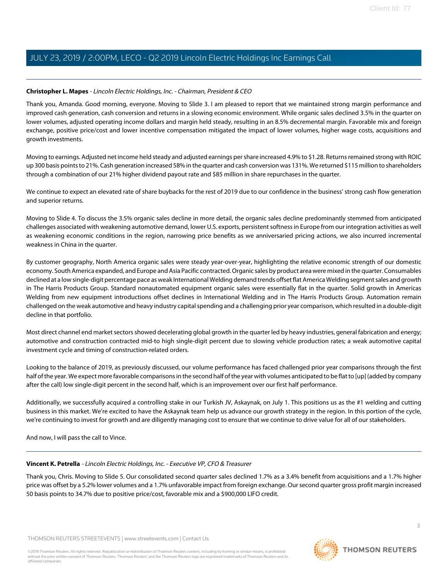#### <span id="page-2-0"></span>**Christopher L. Mapes** - Lincoln Electric Holdings, Inc. - Chairman, President & CEO

Thank you, Amanda. Good morning, everyone. Moving to Slide 3. I am pleased to report that we maintained strong margin performance and improved cash generation, cash conversion and returns in a slowing economic environment. While organic sales declined 3.5% in the quarter on lower volumes, adjusted operating income dollars and margin held steady, resulting in an 8.5% decremental margin. Favorable mix and foreign exchange, positive price/cost and lower incentive compensation mitigated the impact of lower volumes, higher wage costs, acquisitions and growth investments.

Moving to earnings. Adjusted net income held steady and adjusted earnings per share increased 4.9% to \$1.28. Returns remained strong with ROIC up 300 basis points to 21%. Cash generation increased 58% in the quarter and cash conversion was 131%. We returned \$115 million to shareholders through a combination of our 21% higher dividend payout rate and \$85 million in share repurchases in the quarter.

We continue to expect an elevated rate of share buybacks for the rest of 2019 due to our confidence in the business' strong cash flow generation and superior returns.

Moving to Slide 4. To discuss the 3.5% organic sales decline in more detail, the organic sales decline predominantly stemmed from anticipated challenges associated with weakening automotive demand, lower U.S. exports, persistent softness in Europe from our integration activities as well as weakening economic conditions in the region, narrowing price benefits as we anniversaried pricing actions, we also incurred incremental weakness in China in the quarter.

By customer geography, North America organic sales were steady year-over-year, highlighting the relative economic strength of our domestic economy. South America expanded, and Europe and Asia Pacific contracted. Organic sales by product area were mixed in the quarter. Consumables declined at a low single-digit percentage pace as weak International Welding demand trends offset flat America Welding segment sales and growth in The Harris Products Group. Standard nonautomated equipment organic sales were essentially flat in the quarter. Solid growth in Americas Welding from new equipment introductions offset declines in International Welding and in The Harris Products Group. Automation remain challenged on the weak automotive and heavy industry capital spending and a challenging prior year comparison, which resulted in a double-digit decline in that portfolio.

Most direct channel end market sectors showed decelerating global growth in the quarter led by heavy industries, general fabrication and energy; automotive and construction contracted mid-to high single-digit percent due to slowing vehicle production rates; a weak automotive capital investment cycle and timing of construction-related orders.

Looking to the balance of 2019, as previously discussed, our volume performance has faced challenged prior year comparisons through the first half of the year. We expect more favorable comparisons in the second half of the year with volumes anticipated to be flat to [up] (added by company after the call) low single-digit percent in the second half, which is an improvement over our first half performance.

<span id="page-2-1"></span>Additionally, we successfully acquired a controlling stake in our Turkish JV, Askaynak, on July 1. This positions us as the #1 welding and cutting business in this market. We're excited to have the Askaynak team help us advance our growth strategy in the region. In this portion of the cycle, we're continuing to invest for growth and are diligently managing cost to ensure that we continue to drive value for all of our stakeholders.

And now, I will pass the call to Vince.

#### **Vincent K. Petrella** - Lincoln Electric Holdings, Inc. - Executive VP, CFO & Treasurer

Thank you, Chris. Moving to Slide 5. Our consolidated second quarter sales declined 1.7% as a 3.4% benefit from acquisitions and a 1.7% higher price was offset by a 5.2% lower volumes and a 1.7% unfavorable impact from foreign exchange. Our second quarter gross profit margin increased 50 basis points to 34.7% due to positive price/cost, favorable mix and a \$900,000 LIFO credit.

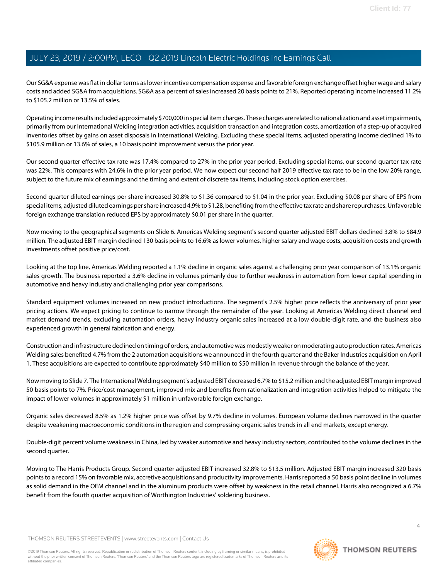Our SG&A expense was flat in dollar terms as lower incentive compensation expense and favorable foreign exchange offset higher wage and salary costs and added SG&A from acquisitions. SG&A as a percent of sales increased 20 basis points to 21%. Reported operating income increased 11.2% to \$105.2 million or 13.5% of sales.

Operating income results included approximately \$700,000 in special item charges. These charges are related to rationalization and asset impairments, primarily from our International Welding integration activities, acquisition transaction and integration costs, amortization of a step-up of acquired inventories offset by gains on asset disposals in International Welding. Excluding these special items, adjusted operating income declined 1% to \$105.9 million or 13.6% of sales, a 10 basis point improvement versus the prior year.

Our second quarter effective tax rate was 17.4% compared to 27% in the prior year period. Excluding special items, our second quarter tax rate was 22%. This compares with 24.6% in the prior year period. We now expect our second half 2019 effective tax rate to be in the low 20% range, subject to the future mix of earnings and the timing and extent of discrete tax items, including stock option exercises.

Second quarter diluted earnings per share increased 30.8% to \$1.36 compared to \$1.04 in the prior year. Excluding \$0.08 per share of EPS from special items, adjusted diluted earnings per share increased 4.9% to \$1.28, benefiting from the effective tax rate and share repurchases. Unfavorable foreign exchange translation reduced EPS by approximately \$0.01 per share in the quarter.

Now moving to the geographical segments on Slide 6. Americas Welding segment's second quarter adjusted EBIT dollars declined 3.8% to \$84.9 million. The adjusted EBIT margin declined 130 basis points to 16.6% as lower volumes, higher salary and wage costs, acquisition costs and growth investments offset positive price/cost.

Looking at the top line, Americas Welding reported a 1.1% decline in organic sales against a challenging prior year comparison of 13.1% organic sales growth. The business reported a 3.6% decline in volumes primarily due to further weakness in automation from lower capital spending in automotive and heavy industry and challenging prior year comparisons.

Standard equipment volumes increased on new product introductions. The segment's 2.5% higher price reflects the anniversary of prior year pricing actions. We expect pricing to continue to narrow through the remainder of the year. Looking at Americas Welding direct channel end market demand trends, excluding automation orders, heavy industry organic sales increased at a low double-digit rate, and the business also experienced growth in general fabrication and energy.

Construction and infrastructure declined on timing of orders, and automotive was modestly weaker on moderating auto production rates. Americas Welding sales benefited 4.7% from the 2 automation acquisitions we announced in the fourth quarter and the Baker Industries acquisition on April 1. These acquisitions are expected to contribute approximately \$40 million to \$50 million in revenue through the balance of the year.

Now moving to Slide 7. The International Welding segment's adjusted EBIT decreased 6.7% to \$15.2 million and the adjusted EBIT margin improved 50 basis points to 7%. Price/cost management, improved mix and benefits from rationalization and integration activities helped to mitigate the impact of lower volumes in approximately \$1 million in unfavorable foreign exchange.

Organic sales decreased 8.5% as 1.2% higher price was offset by 9.7% decline in volumes. European volume declines narrowed in the quarter despite weakening macroeconomic conditions in the region and compressing organic sales trends in all end markets, except energy.

Double-digit percent volume weakness in China, led by weaker automotive and heavy industry sectors, contributed to the volume declines in the second quarter.

Moving to The Harris Products Group. Second quarter adjusted EBIT increased 32.8% to \$13.5 million. Adjusted EBIT margin increased 320 basis points to a record 15% on favorable mix, accretive acquisitions and productivity improvements. Harris reported a 50 basis point decline in volumes as solid demand in the OEM channel and in the aluminum products were offset by weakness in the retail channel. Harris also recognized a 6.7% benefit from the fourth quarter acquisition of Worthington Industries' soldering business.

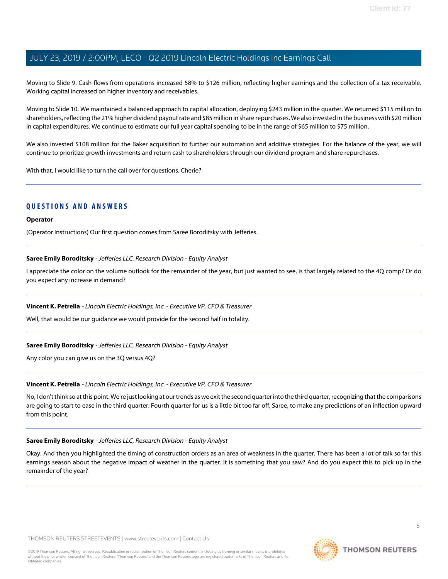Moving to Slide 9. Cash flows from operations increased 58% to \$126 million, reflecting higher earnings and the collection of a tax receivable. Working capital increased on higher inventory and receivables.

Moving to Slide 10. We maintained a balanced approach to capital allocation, deploying \$243 million in the quarter. We returned \$115 million to shareholders, reflecting the 21% higher dividend payout rate and \$85 million in share repurchases. We also invested in the business with \$20 million in capital expenditures. We continue to estimate our full year capital spending to be in the range of \$65 million to \$75 million.

We also invested \$108 million for the Baker acquisition to further our automation and additive strategies. For the balance of the year, we will continue to prioritize growth investments and return cash to shareholders through our dividend program and share repurchases.

With that, I would like to turn the call over for questions. Cherie?

#### **QUESTIONS AND ANSWERS**

#### **Operator**

<span id="page-4-0"></span>(Operator Instructions) Our first question comes from Saree Boroditsky with Jefferies.

#### **Saree Emily Boroditsky** - Jefferies LLC, Research Division - Equity Analyst

I appreciate the color on the volume outlook for the remainder of the year, but just wanted to see, is that largely related to the 4Q comp? Or do you expect any increase in demand?

#### **Vincent K. Petrella** - Lincoln Electric Holdings, Inc. - Executive VP, CFO & Treasurer

Well, that would be our guidance we would provide for the second half in totality.

#### **Saree Emily Boroditsky** - Jefferies LLC, Research Division - Equity Analyst

Any color you can give us on the 3Q versus 4Q?

#### **Vincent K. Petrella** - Lincoln Electric Holdings, Inc. - Executive VP, CFO & Treasurer

No, I don't think so at this point. We're just looking at our trends as we exit the second quarter into the third quarter, recognizing that the comparisons are going to start to ease in the third quarter. Fourth quarter for us is a little bit too far off, Saree, to make any predictions of an inflection upward from this point.

#### **Saree Emily Boroditsky** - Jefferies LLC, Research Division - Equity Analyst

Okay. And then you highlighted the timing of construction orders as an area of weakness in the quarter. There has been a lot of talk so far this earnings season about the negative impact of weather in the quarter. It is something that you saw? And do you expect this to pick up in the remainder of the year?

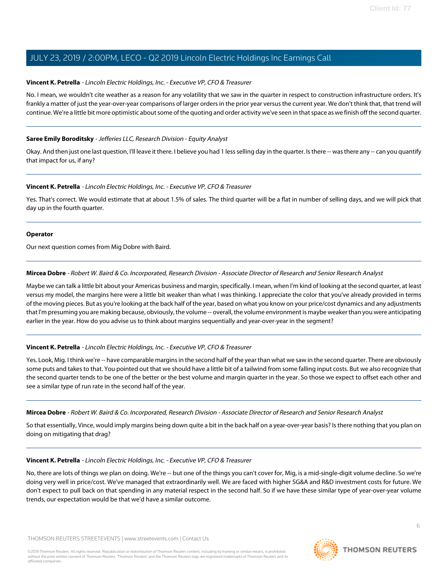#### **Vincent K. Petrella** - Lincoln Electric Holdings, Inc. - Executive VP, CFO & Treasurer

No. I mean, we wouldn't cite weather as a reason for any volatility that we saw in the quarter in respect to construction infrastructure orders. It's frankly a matter of just the year-over-year comparisons of larger orders in the prior year versus the current year. We don't think that, that trend will continue. We're a little bit more optimistic about some of the quoting and order activity we've seen in that space as we finish off the second quarter.

#### **Saree Emily Boroditsky** - Jefferies LLC, Research Division - Equity Analyst

Okay. And then just one last question, I'll leave it there. I believe you had 1 less selling day in the quarter. Is there -- was there any -- can you quantify that impact for us, if any?

#### **Vincent K. Petrella** - Lincoln Electric Holdings, Inc. - Executive VP, CFO & Treasurer

Yes. That's correct. We would estimate that at about 1.5% of sales. The third quarter will be a flat in number of selling days, and we will pick that day up in the fourth quarter.

#### **Operator**

<span id="page-5-0"></span>Our next question comes from Mig Dobre with Baird.

#### **Mircea Dobre** - Robert W. Baird & Co. Incorporated, Research Division - Associate Director of Research and Senior Research Analyst

Maybe we can talk a little bit about your Americas business and margin, specifically. I mean, when I'm kind of looking at the second quarter, at least versus my model, the margins here were a little bit weaker than what I was thinking. I appreciate the color that you've already provided in terms of the moving pieces. But as you're looking at the back half of the year, based on what you know on your price/cost dynamics and any adjustments that I'm presuming you are making because, obviously, the volume -- overall, the volume environment is maybe weaker than you were anticipating earlier in the year. How do you advise us to think about margins sequentially and year-over-year in the segment?

#### **Vincent K. Petrella** - Lincoln Electric Holdings, Inc. - Executive VP, CFO & Treasurer

Yes. Look, Mig. I think we're -- have comparable margins in the second half of the year than what we saw in the second quarter. There are obviously some puts and takes to that. You pointed out that we should have a little bit of a tailwind from some falling input costs. But we also recognize that the second quarter tends to be one of the better or the best volume and margin quarter in the year. So those we expect to offset each other and see a similar type of run rate in the second half of the year.

#### **Mircea Dobre** - Robert W. Baird & Co. Incorporated, Research Division - Associate Director of Research and Senior Research Analyst

So that essentially, Vince, would imply margins being down quite a bit in the back half on a year-over-year basis? Is there nothing that you plan on doing on mitigating that drag?

#### **Vincent K. Petrella** - Lincoln Electric Holdings, Inc. - Executive VP, CFO & Treasurer

No, there are lots of things we plan on doing. We're -- but one of the things you can't cover for, Mig, is a mid-single-digit volume decline. So we're doing very well in price/cost. We've managed that extraordinarily well. We are faced with higher SG&A and R&D investment costs for future. We don't expect to pull back on that spending in any material respect in the second half. So if we have these similar type of year-over-year volume trends, our expectation would be that we'd have a similar outcome.

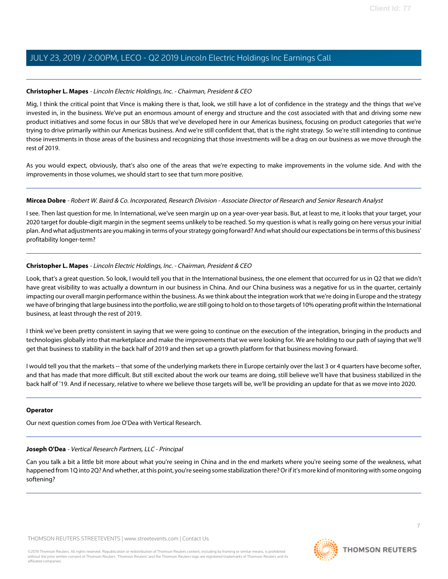#### **Christopher L. Mapes** - Lincoln Electric Holdings, Inc. - Chairman, President & CEO

Mig, I think the critical point that Vince is making there is that, look, we still have a lot of confidence in the strategy and the things that we've invested in, in the business. We've put an enormous amount of energy and structure and the cost associated with that and driving some new product initiatives and some focus in our SBUs that we've developed here in our Americas business, focusing on product categories that we're trying to drive primarily within our Americas business. And we're still confident that, that is the right strategy. So we're still intending to continue those investments in those areas of the business and recognizing that those investments will be a drag on our business as we move through the rest of 2019.

As you would expect, obviously, that's also one of the areas that we're expecting to make improvements in the volume side. And with the improvements in those volumes, we should start to see that turn more positive.

#### **Mircea Dobre** - Robert W. Baird & Co. Incorporated, Research Division - Associate Director of Research and Senior Research Analyst

I see. Then last question for me. In International, we've seen margin up on a year-over-year basis. But, at least to me, it looks that your target, your 2020 target for double-digit margin in the segment seems unlikely to be reached. So my question is what is really going on here versus your initial plan. And what adjustments are you making in terms of your strategy going forward? And what should our expectations be in terms of this business' profitability longer-term?

#### **Christopher L. Mapes** - Lincoln Electric Holdings, Inc. - Chairman, President & CEO

Look, that's a great question. So look, I would tell you that in the International business, the one element that occurred for us in Q2 that we didn't have great visibility to was actually a downturn in our business in China. And our China business was a negative for us in the quarter, certainly impacting our overall margin performance within the business. As we think about the integration work that we're doing in Europe and the strategy we have of bringing that large business into the portfolio, we are still going to hold on to those targets of 10% operating profit within the International business, at least through the rest of 2019.

I think we've been pretty consistent in saying that we were going to continue on the execution of the integration, bringing in the products and technologies globally into that marketplace and make the improvements that we were looking for. We are holding to our path of saying that we'll get that business to stability in the back half of 2019 and then set up a growth platform for that business moving forward.

I would tell you that the markets -- that some of the underlying markets there in Europe certainly over the last 3 or 4 quarters have become softer, and that has made that more difficult. But still excited about the work our teams are doing, still believe we'll have that business stabilized in the back half of '19. And if necessary, relative to where we believe those targets will be, we'll be providing an update for that as we move into 2020.

#### <span id="page-6-0"></span>**Operator**

Our next question comes from Joe O'Dea with Vertical Research.

#### **Joseph O'Dea** - Vertical Research Partners, LLC - Principal

Can you talk a bit a little bit more about what you're seeing in China and in the end markets where you're seeing some of the weakness, what happened from 1Q into 2Q? And whether, at this point, you're seeing some stabilization there? Or if it's more kind of monitoring with some ongoing softening?

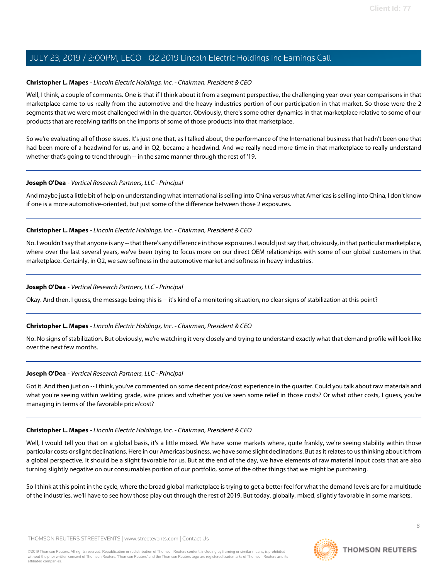#### **Christopher L. Mapes** - Lincoln Electric Holdings, Inc. - Chairman, President & CEO

Well, I think, a couple of comments. One is that if I think about it from a segment perspective, the challenging year-over-year comparisons in that marketplace came to us really from the automotive and the heavy industries portion of our participation in that market. So those were the 2 segments that we were most challenged with in the quarter. Obviously, there's some other dynamics in that marketplace relative to some of our products that are receiving tariffs on the imports of some of those products into that marketplace.

So we're evaluating all of those issues. It's just one that, as I talked about, the performance of the International business that hadn't been one that had been more of a headwind for us, and in Q2, became a headwind. And we really need more time in that marketplace to really understand whether that's going to trend through -- in the same manner through the rest of '19.

#### **Joseph O'Dea** - Vertical Research Partners, LLC - Principal

And maybe just a little bit of help on understanding what International is selling into China versus what Americas is selling into China, I don't know if one is a more automotive-oriented, but just some of the difference between those 2 exposures.

#### **Christopher L. Mapes** - Lincoln Electric Holdings, Inc. - Chairman, President & CEO

No. I wouldn't say that anyone is any -- that there's any difference in those exposures. I would just say that, obviously, in that particular marketplace, where over the last several years, we've been trying to focus more on our direct OEM relationships with some of our global customers in that marketplace. Certainly, in Q2, we saw softness in the automotive market and softness in heavy industries.

#### **Joseph O'Dea** - Vertical Research Partners, LLC - Principal

Okay. And then, I guess, the message being this is -- it's kind of a monitoring situation, no clear signs of stabilization at this point?

#### **Christopher L. Mapes** - Lincoln Electric Holdings, Inc. - Chairman, President & CEO

No. No signs of stabilization. But obviously, we're watching it very closely and trying to understand exactly what that demand profile will look like over the next few months.

#### **Joseph O'Dea** - Vertical Research Partners, LLC - Principal

Got it. And then just on -- I think, you've commented on some decent price/cost experience in the quarter. Could you talk about raw materials and what you're seeing within welding grade, wire prices and whether you've seen some relief in those costs? Or what other costs, I guess, you're managing in terms of the favorable price/cost?

#### **Christopher L. Mapes** - Lincoln Electric Holdings, Inc. - Chairman, President & CEO

Well, I would tell you that on a global basis, it's a little mixed. We have some markets where, quite frankly, we're seeing stability within those particular costs or slight declinations. Here in our Americas business, we have some slight declinations. But as it relates to us thinking about it from a global perspective, it should be a slight favorable for us. But at the end of the day, we have elements of raw material input costs that are also turning slightly negative on our consumables portion of our portfolio, some of the other things that we might be purchasing.

So I think at this point in the cycle, where the broad global marketplace is trying to get a better feel for what the demand levels are for a multitude of the industries, we'll have to see how those play out through the rest of 2019. But today, globally, mixed, slightly favorable in some markets.

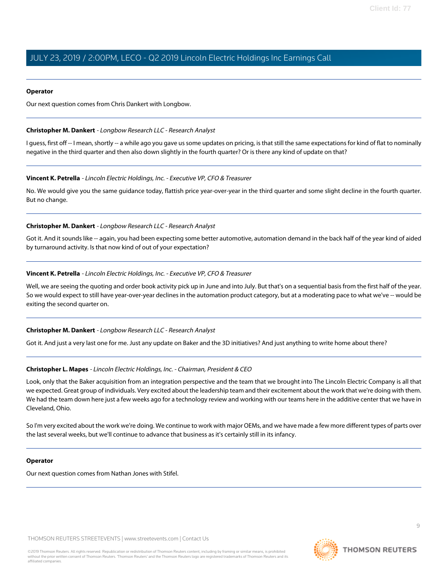#### **Operator**

Our next question comes from Chris Dankert with Longbow.

#### <span id="page-8-0"></span>**Christopher M. Dankert** - Longbow Research LLC - Research Analyst

I guess, first off -- I mean, shortly -- a while ago you gave us some updates on pricing, is that still the same expectations for kind of flat to nominally negative in the third quarter and then also down slightly in the fourth quarter? Or is there any kind of update on that?

#### **Vincent K. Petrella** - Lincoln Electric Holdings, Inc. - Executive VP, CFO & Treasurer

No. We would give you the same guidance today, flattish price year-over-year in the third quarter and some slight decline in the fourth quarter. But no change.

#### **Christopher M. Dankert** - Longbow Research LLC - Research Analyst

Got it. And it sounds like -- again, you had been expecting some better automotive, automation demand in the back half of the year kind of aided by turnaround activity. Is that now kind of out of your expectation?

#### **Vincent K. Petrella** - Lincoln Electric Holdings, Inc. - Executive VP, CFO & Treasurer

Well, we are seeing the quoting and order book activity pick up in June and into July. But that's on a sequential basis from the first half of the year. So we would expect to still have year-over-year declines in the automation product category, but at a moderating pace to what we've -- would be exiting the second quarter on.

#### **Christopher M. Dankert** - Longbow Research LLC - Research Analyst

Got it. And just a very last one for me. Just any update on Baker and the 3D initiatives? And just anything to write home about there?

#### **Christopher L. Mapes** - Lincoln Electric Holdings, Inc. - Chairman, President & CEO

Look, only that the Baker acquisition from an integration perspective and the team that we brought into The Lincoln Electric Company is all that we expected. Great group of individuals. Very excited about the leadership team and their excitement about the work that we're doing with them. We had the team down here just a few weeks ago for a technology review and working with our teams here in the additive center that we have in Cleveland, Ohio.

So I'm very excited about the work we're doing. We continue to work with major OEMs, and we have made a few more different types of parts over the last several weeks, but we'll continue to advance that business as it's certainly still in its infancy.

#### **Operator**

Our next question comes from Nathan Jones with Stifel.

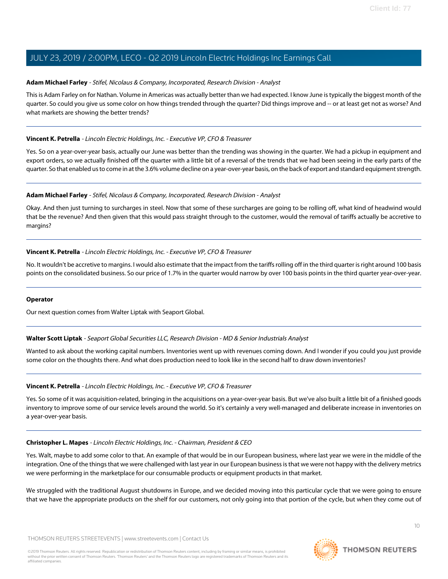#### <span id="page-9-0"></span>**Adam Michael Farley** - Stifel, Nicolaus & Company, Incorporated, Research Division - Analyst

This is Adam Farley on for Nathan. Volume in Americas was actually better than we had expected. I know June is typically the biggest month of the quarter. So could you give us some color on how things trended through the quarter? Did things improve and -- or at least get not as worse? And what markets are showing the better trends?

#### **Vincent K. Petrella** - Lincoln Electric Holdings, Inc. - Executive VP, CFO & Treasurer

Yes. So on a year-over-year basis, actually our June was better than the trending was showing in the quarter. We had a pickup in equipment and export orders, so we actually finished off the quarter with a little bit of a reversal of the trends that we had been seeing in the early parts of the quarter. So that enabled us to come in at the 3.6% volume decline on a year-over-year basis, on the back of export and standard equipment strength.

#### **Adam Michael Farley** - Stifel, Nicolaus & Company, Incorporated, Research Division - Analyst

Okay. And then just turning to surcharges in steel. Now that some of these surcharges are going to be rolling off, what kind of headwind would that be the revenue? And then given that this would pass straight through to the customer, would the removal of tariffs actually be accretive to margins?

#### **Vincent K. Petrella** - Lincoln Electric Holdings, Inc. - Executive VP, CFO & Treasurer

No. It wouldn't be accretive to margins. I would also estimate that the impact from the tariffs rolling off in the third quarter is right around 100 basis points on the consolidated business. So our price of 1.7% in the quarter would narrow by over 100 basis points in the third quarter year-over-year.

#### <span id="page-9-1"></span>**Operator**

Our next question comes from Walter Liptak with Seaport Global.

#### **Walter Scott Liptak** - Seaport Global Securities LLC, Research Division - MD & Senior Industrials Analyst

Wanted to ask about the working capital numbers. Inventories went up with revenues coming down. And I wonder if you could you just provide some color on the thoughts there. And what does production need to look like in the second half to draw down inventories?

#### **Vincent K. Petrella** - Lincoln Electric Holdings, Inc. - Executive VP, CFO & Treasurer

Yes. So some of it was acquisition-related, bringing in the acquisitions on a year-over-year basis. But we've also built a little bit of a finished goods inventory to improve some of our service levels around the world. So it's certainly a very well-managed and deliberate increase in inventories on a year-over-year basis.

#### **Christopher L. Mapes** - Lincoln Electric Holdings, Inc. - Chairman, President & CEO

Yes. Walt, maybe to add some color to that. An example of that would be in our European business, where last year we were in the middle of the integration. One of the things that we were challenged with last year in our European business is that we were not happy with the delivery metrics we were performing in the marketplace for our consumable products or equipment products in that market.

We struggled with the traditional August shutdowns in Europe, and we decided moving into this particular cycle that we were going to ensure that we have the appropriate products on the shelf for our customers, not only going into that portion of the cycle, but when they come out of

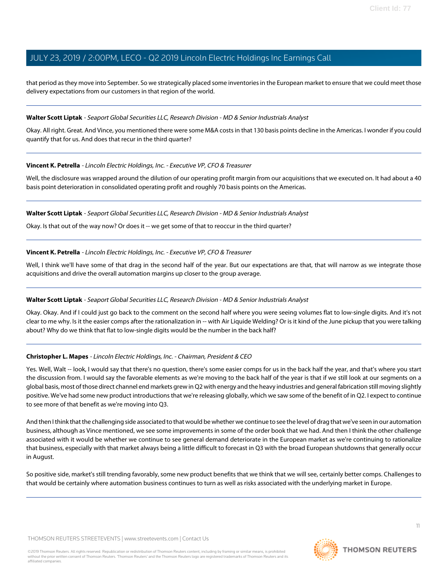that period as they move into September. So we strategically placed some inventories in the European market to ensure that we could meet those delivery expectations from our customers in that region of the world.

#### **Walter Scott Liptak** - Seaport Global Securities LLC, Research Division - MD & Senior Industrials Analyst

Okay. All right. Great. And Vince, you mentioned there were some M&A costs in that 130 basis points decline in the Americas. I wonder if you could quantify that for us. And does that recur in the third quarter?

#### **Vincent K. Petrella** - Lincoln Electric Holdings, Inc. - Executive VP, CFO & Treasurer

Well, the disclosure was wrapped around the dilution of our operating profit margin from our acquisitions that we executed on. It had about a 40 basis point deterioration in consolidated operating profit and roughly 70 basis points on the Americas.

#### **Walter Scott Liptak** - Seaport Global Securities LLC, Research Division - MD & Senior Industrials Analyst

Okay. Is that out of the way now? Or does it -- we get some of that to reoccur in the third quarter?

#### **Vincent K. Petrella** - Lincoln Electric Holdings, Inc. - Executive VP, CFO & Treasurer

Well, I think we'll have some of that drag in the second half of the year. But our expectations are that, that will narrow as we integrate those acquisitions and drive the overall automation margins up closer to the group average.

#### **Walter Scott Liptak** - Seaport Global Securities LLC, Research Division - MD & Senior Industrials Analyst

Okay. Okay. And if I could just go back to the comment on the second half where you were seeing volumes flat to low-single digits. And it's not clear to me why. Is it the easier comps after the rationalization in -- with Air Liquide Welding? Or is it kind of the June pickup that you were talking about? Why do we think that flat to low-single digits would be the number in the back half?

#### **Christopher L. Mapes** - Lincoln Electric Holdings, Inc. - Chairman, President & CEO

Yes. Well, Walt -- look, I would say that there's no question, there's some easier comps for us in the back half the year, and that's where you start the discussion from. I would say the favorable elements as we're moving to the back half of the year is that if we still look at our segments on a global basis, most of those direct channel end markets grew in Q2 with energy and the heavy industries and general fabrication still moving slightly positive. We've had some new product introductions that we're releasing globally, which we saw some of the benefit of in Q2. I expect to continue to see more of that benefit as we're moving into Q3.

And then I think that the challenging side associated to that would be whether we continue to see the level of drag that we've seen in our automation business, although as Vince mentioned, we see some improvements in some of the order book that we had. And then I think the other challenge associated with it would be whether we continue to see general demand deteriorate in the European market as we're continuing to rationalize that business, especially with that market always being a little difficult to forecast in Q3 with the broad European shutdowns that generally occur in August.

So positive side, market's still trending favorably, some new product benefits that we think that we will see, certainly better comps. Challenges to that would be certainly where automation business continues to turn as well as risks associated with the underlying market in Europe.

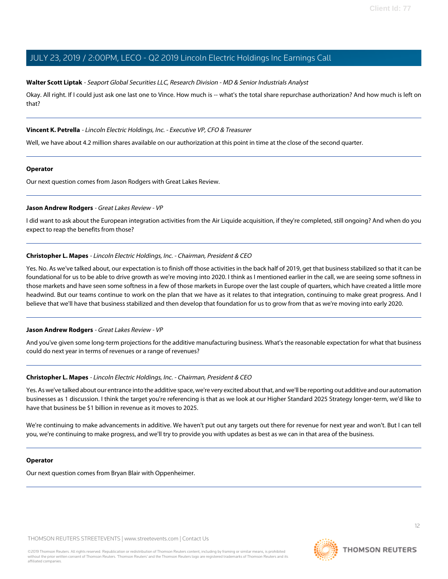#### **Walter Scott Liptak** - Seaport Global Securities LLC, Research Division - MD & Senior Industrials Analyst

Okay. All right. If I could just ask one last one to Vince. How much is -- what's the total share repurchase authorization? And how much is left on that?

#### **Vincent K. Petrella** - Lincoln Electric Holdings, Inc. - Executive VP, CFO & Treasurer

Well, we have about 4.2 million shares available on our authorization at this point in time at the close of the second quarter.

#### **Operator**

<span id="page-11-0"></span>Our next question comes from Jason Rodgers with Great Lakes Review.

#### **Jason Andrew Rodgers** - Great Lakes Review - VP

I did want to ask about the European integration activities from the Air Liquide acquisition, if they're completed, still ongoing? And when do you expect to reap the benefits from those?

#### **Christopher L. Mapes** - Lincoln Electric Holdings, Inc. - Chairman, President & CEO

Yes. No. As we've talked about, our expectation is to finish off those activities in the back half of 2019, get that business stabilized so that it can be foundational for us to be able to drive growth as we're moving into 2020. I think as I mentioned earlier in the call, we are seeing some softness in those markets and have seen some softness in a few of those markets in Europe over the last couple of quarters, which have created a little more headwind. But our teams continue to work on the plan that we have as it relates to that integration, continuing to make great progress. And I believe that we'll have that business stabilized and then develop that foundation for us to grow from that as we're moving into early 2020.

#### **Jason Andrew Rodgers** - Great Lakes Review - VP

And you've given some long-term projections for the additive manufacturing business. What's the reasonable expectation for what that business could do next year in terms of revenues or a range of revenues?

#### **Christopher L. Mapes** - Lincoln Electric Holdings, Inc. - Chairman, President & CEO

Yes. As we've talked about our entrance into the additive space, we're very excited about that, and we'll be reporting out additive and our automation businesses as 1 discussion. I think the target you're referencing is that as we look at our Higher Standard 2025 Strategy longer-term, we'd like to have that business be \$1 billion in revenue as it moves to 2025.

We're continuing to make advancements in additive. We haven't put out any targets out there for revenue for next year and won't. But I can tell you, we're continuing to make progress, and we'll try to provide you with updates as best as we can in that area of the business.

#### **Operator**

Our next question comes from Bryan Blair with Oppenheimer.



**THOMSON REUTERS**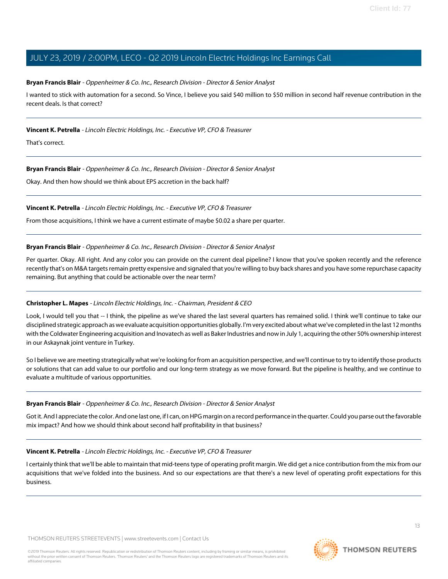#### <span id="page-12-0"></span>**Bryan Francis Blair** - Oppenheimer & Co. Inc., Research Division - Director & Senior Analyst

I wanted to stick with automation for a second. So Vince, I believe you said \$40 million to \$50 million in second half revenue contribution in the recent deals. Is that correct?

#### **Vincent K. Petrella** - Lincoln Electric Holdings, Inc. - Executive VP, CFO & Treasurer

That's correct.

#### **Bryan Francis Blair** - Oppenheimer & Co. Inc., Research Division - Director & Senior Analyst

Okay. And then how should we think about EPS accretion in the back half?

#### **Vincent K. Petrella** - Lincoln Electric Holdings, Inc. - Executive VP, CFO & Treasurer

From those acquisitions, I think we have a current estimate of maybe \$0.02 a share per quarter.

#### **Bryan Francis Blair** - Oppenheimer & Co. Inc., Research Division - Director & Senior Analyst

Per quarter. Okay. All right. And any color you can provide on the current deal pipeline? I know that you've spoken recently and the reference recently that's on M&A targets remain pretty expensive and signaled that you're willing to buy back shares and you have some repurchase capacity remaining. But anything that could be actionable over the near term?

#### **Christopher L. Mapes** - Lincoln Electric Holdings, Inc. - Chairman, President & CEO

Look, I would tell you that -- I think, the pipeline as we've shared the last several quarters has remained solid. I think we'll continue to take our disciplined strategic approach as we evaluate acquisition opportunities globally. I'm very excited about what we've completed in the last 12 months with the Coldwater Engineering acquisition and Inovatech as well as Baker Industries and now in July 1, acquiring the other 50% ownership interest in our Askaynak joint venture in Turkey.

So I believe we are meeting strategically what we're looking for from an acquisition perspective, and we'll continue to try to identify those products or solutions that can add value to our portfolio and our long-term strategy as we move forward. But the pipeline is healthy, and we continue to evaluate a multitude of various opportunities.

#### **Bryan Francis Blair** - Oppenheimer & Co. Inc., Research Division - Director & Senior Analyst

Got it. And I appreciate the color. And one last one, if I can, on HPG margin on a record performance in the quarter. Could you parse out the favorable mix impact? And how we should think about second half profitability in that business?

#### **Vincent K. Petrella** - Lincoln Electric Holdings, Inc. - Executive VP, CFO & Treasurer

I certainly think that we'll be able to maintain that mid-teens type of operating profit margin. We did get a nice contribution from the mix from our acquisitions that we've folded into the business. And so our expectations are that there's a new level of operating profit expectations for this business.

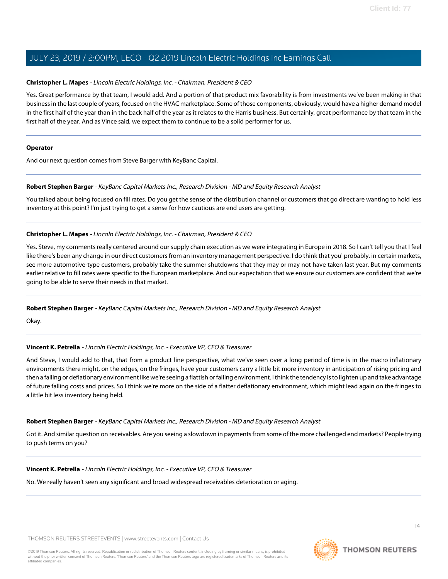#### **Christopher L. Mapes** - Lincoln Electric Holdings, Inc. - Chairman, President & CEO

Yes. Great performance by that team, I would add. And a portion of that product mix favorability is from investments we've been making in that business in the last couple of years, focused on the HVAC marketplace. Some of those components, obviously, would have a higher demand model in the first half of the year than in the back half of the year as it relates to the Harris business. But certainly, great performance by that team in the first half of the year. And as Vince said, we expect them to continue to be a solid performer for us.

#### **Operator**

<span id="page-13-0"></span>And our next question comes from Steve Barger with KeyBanc Capital.

#### **Robert Stephen Barger** - KeyBanc Capital Markets Inc., Research Division - MD and Equity Research Analyst

You talked about being focused on fill rates. Do you get the sense of the distribution channel or customers that go direct are wanting to hold less inventory at this point? I'm just trying to get a sense for how cautious are end users are getting.

#### **Christopher L. Mapes** - Lincoln Electric Holdings, Inc. - Chairman, President & CEO

Yes. Steve, my comments really centered around our supply chain execution as we were integrating in Europe in 2018. So I can't tell you that I feel like there's been any change in our direct customers from an inventory management perspective. I do think that you' probably, in certain markets, see more automotive-type customers, probably take the summer shutdowns that they may or may not have taken last year. But my comments earlier relative to fill rates were specific to the European marketplace. And our expectation that we ensure our customers are confident that we're going to be able to serve their needs in that market.

#### **Robert Stephen Barger** - KeyBanc Capital Markets Inc., Research Division - MD and Equity Research Analyst

Okay.

#### **Vincent K. Petrella** - Lincoln Electric Holdings, Inc. - Executive VP, CFO & Treasurer

And Steve, I would add to that, that from a product line perspective, what we've seen over a long period of time is in the macro inflationary environments there might, on the edges, on the fringes, have your customers carry a little bit more inventory in anticipation of rising pricing and then a falling or deflationary environment like we're seeing a flattish or falling environment. I think the tendency is to lighten up and take advantage of future falling costs and prices. So I think we're more on the side of a flatter deflationary environment, which might lead again on the fringes to a little bit less inventory being held.

#### **Robert Stephen Barger** - KeyBanc Capital Markets Inc., Research Division - MD and Equity Research Analyst

Got it. And similar question on receivables. Are you seeing a slowdown in payments from some of the more challenged end markets? People trying to push terms on you?

**Vincent K. Petrella** - Lincoln Electric Holdings, Inc. - Executive VP, CFO & Treasurer

No. We really haven't seen any significant and broad widespread receivables deterioration or aging.

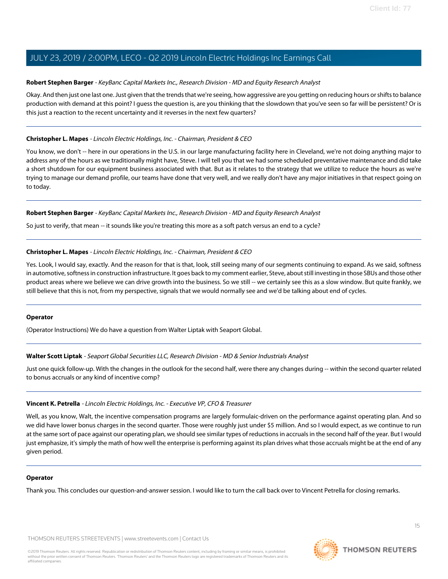#### **Robert Stephen Barger** - KeyBanc Capital Markets Inc., Research Division - MD and Equity Research Analyst

Okay. And then just one last one. Just given that the trends that we're seeing, how aggressive are you getting on reducing hours or shifts to balance production with demand at this point? I guess the question is, are you thinking that the slowdown that you've seen so far will be persistent? Or is this just a reaction to the recent uncertainty and it reverses in the next few quarters?

#### **Christopher L. Mapes** - Lincoln Electric Holdings, Inc. - Chairman, President & CEO

You know, we don't -- here in our operations in the U.S. in our large manufacturing facility here in Cleveland, we're not doing anything major to address any of the hours as we traditionally might have, Steve. I will tell you that we had some scheduled preventative maintenance and did take a short shutdown for our equipment business associated with that. But as it relates to the strategy that we utilize to reduce the hours as we're trying to manage our demand profile, our teams have done that very well, and we really don't have any major initiatives in that respect going on to today.

#### **Robert Stephen Barger** - KeyBanc Capital Markets Inc., Research Division - MD and Equity Research Analyst

So just to verify, that mean -- it sounds like you're treating this more as a soft patch versus an end to a cycle?

#### **Christopher L. Mapes** - Lincoln Electric Holdings, Inc. - Chairman, President & CEO

Yes. Look, I would say, exactly. And the reason for that is that, look, still seeing many of our segments continuing to expand. As we said, softness in automotive, softness in construction infrastructure. It goes back to my comment earlier, Steve, about still investing in those SBUs and those other product areas where we believe we can drive growth into the business. So we still -- we certainly see this as a slow window. But quite frankly, we still believe that this is not, from my perspective, signals that we would normally see and we'd be talking about end of cycles.

#### **Operator**

(Operator Instructions) We do have a question from Walter Liptak with Seaport Global.

#### **Walter Scott Liptak** - Seaport Global Securities LLC, Research Division - MD & Senior Industrials Analyst

Just one quick follow-up. With the changes in the outlook for the second half, were there any changes during -- within the second quarter related to bonus accruals or any kind of incentive comp?

#### **Vincent K. Petrella** - Lincoln Electric Holdings, Inc. - Executive VP, CFO & Treasurer

Well, as you know, Walt, the incentive compensation programs are largely formulaic-driven on the performance against operating plan. And so we did have lower bonus charges in the second quarter. Those were roughly just under \$5 million. And so I would expect, as we continue to run at the same sort of pace against our operating plan, we should see similar types of reductions in accruals in the second half of the year. But I would just emphasize, it's simply the math of how well the enterprise is performing against its plan drives what those accruals might be at the end of any given period.

#### **Operator**

Thank you. This concludes our question-and-answer session. I would like to turn the call back over to Vincent Petrella for closing remarks.